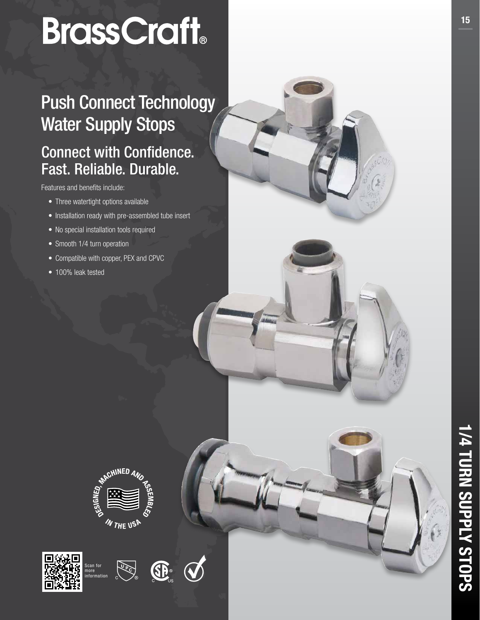# BrassCraft

# Push Connect Technology Water Supply Stops

# Connect with Confidence. Fast. Reliable. Durable.

Features and benefits include:

- Three watertight options available
- Installation ready with pre-assembled tube insert
- No special installation tools required
- Smooth 1/4 turn operation
- Compatible with copper, PEX and CPVC
- 100% leak tested







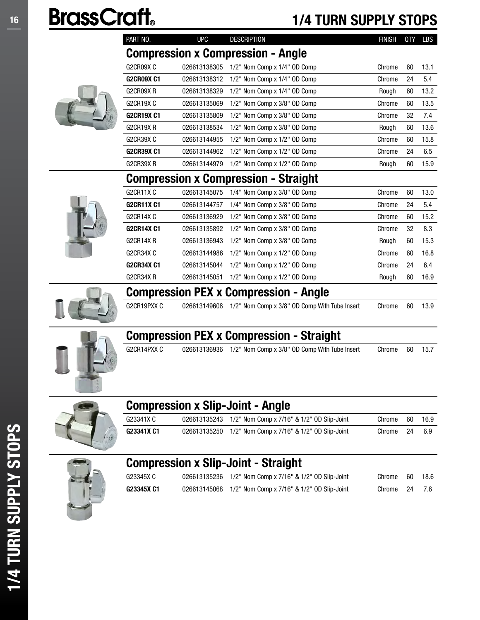# 16 **BrassCraft** 1/4 TURN SUPPLY STOPS

| PART NO.   | <b>UPC</b>   | <b>DESCRIPTION</b>                       | <b>FINISH</b> | <b>QTY</b> | LBS  |
|------------|--------------|------------------------------------------|---------------|------------|------|
|            |              | <b>Compression x Compression - Angle</b> |               |            |      |
| G2CR09XC   | 026613138305 | 1/2" Nom Comp x 1/4" OD Comp             | Chrome        | 60         | 13.1 |
| G2CR09X C1 | 026613138312 | 1/2" Nom Comp x 1/4" OD Comp             | Chrome        | 24         | 5.4  |
| G2CR09X R  | 026613138329 | 1/2" Nom Comp x 1/4" OD Comp             | Rough         | 60         | 13.2 |
| G2CR19X C  | 026613135069 | 1/2" Nom Comp x 3/8" OD Comp             | Chrome        | 60         | 13.5 |
| G2CR19X C1 | 026613135809 | 1/2" Nom Comp x 3/8" OD Comp             | Chrome        | 32         | 7.4  |
| G2CR19X R  | 026613138534 | 1/2" Nom Comp x 3/8" OD Comp             | Rough         | 60         | 13.6 |
| G2CR39X C  | 026613144955 | 1/2" Nom Comp x 1/2" OD Comp             | Chrome        | 60         | 15.8 |
| G2CR39X C1 | 026613144962 | 1/2" Nom Comp x 1/2" OD Comp             | Chrome        | 24         | 6.5  |
| G2CR39X R  | 026613144979 | 1/2" Nom Comp x 1/2" OD Comp             | Rough         | 60         | 15.9 |
| $\bullet$  | <b>.</b>     |                                          |               |            |      |

#### Compression x Compression - Straight

| G2CR11X C         | 026613145075 | 1/4" Nom Comp x 3/8" OD Comp       | Chrome | 60 | 13.0 |
|-------------------|--------------|------------------------------------|--------|----|------|
| <b>G2CR11X C1</b> | 026613144757 | 1/4" Nom Comp x 3/8" OD Comp       | Chrome | 24 | 5.4  |
| G2CR14XC          | 026613136929 | $1/2$ " Nom Comp x $3/8$ " OD Comp | Chrome | 60 | 15.2 |
| <b>G2CR14X C1</b> | 026613135892 | 1/2" Nom Comp x 3/8" OD Comp       | Chrome | 32 | 8.3  |
| G2CR14XR          | 026613136943 | $1/2$ " Nom Comp x $3/8$ " OD Comp | Rough  | 60 | 15.3 |
| G2CR34X C         | 026613144986 | $1/2$ " Nom Comp x $1/2$ " OD Comp | Chrome | 60 | 16.8 |
| <b>G2CR34X C1</b> | 026613145044 | 1/2" Nom Comp x 1/2" OD Comp       | Chrome | 24 | 6.4  |
| G2CR34X R         | 026613145051 | $1/2$ " Nom Comp x $1/2$ " OD Comp | Rough  | 60 | 16.9 |

### Compression PEX x Compression - Angle

G2CR19PXX C 026613149608 1/2" Nom Comp x 3/8" OD Comp With Tube Insert Chrome 60 13.9



#### Compression PEX x Compression - Straight

G2CR14PXX C 026613136936 1/2" Nom Comp x 3/8" OD Comp With Tube Insert Chrome 60 15.7



#### Compression x Slip-Joint - Angle G23341X C 026613135243 1/2" Nom Comp x 7/16" & 1/2" OD Slip-Joint Chrome 60 16.9 G23341X C1 026613135250 1/2" Nom Comp x 7/16" & 1/2" OD Slip-Joint Chrome 24 6.9



|--|

| G23345X C  | 026613135236 1/2" Nom Comp x 7/16" & 1/2" OD Slip-Joint | Chrome    | - 60 | 18.6 |
|------------|---------------------------------------------------------|-----------|------|------|
| G23345X C1 | 026613145068 1/2" Nom Comp x 7/16" & 1/2" OD Slip-Joint | Chrome 24 |      |      |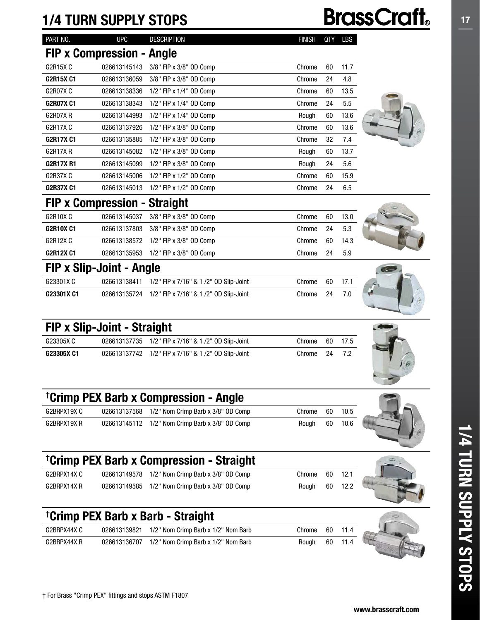# 1/4 TURN SUPPLY STOPS

FIP x Slip-Joint - Angle

FIP x Slip-Joint - Straight

| PART NO.                            | <b>UPC</b>   | <b>DESCRIPTION</b><br><b>FINISH</b> |        | QTY | LBS  |  |  |  |
|-------------------------------------|--------------|-------------------------------------|--------|-----|------|--|--|--|
| FIP x Compression - Angle           |              |                                     |        |     |      |  |  |  |
| G2R15X C                            | 026613145143 | 3/8" FIP x 3/8" OD Comp             | Chrome | 60  | 11.7 |  |  |  |
| <b>G2R15X C1</b>                    | 026613136059 | 3/8" FIP x 3/8" OD Comp             | Chrome | 24  | 4.8  |  |  |  |
| G2R07XC                             | 026613138336 | 1/2" FIP x 1/4" OD Comp             | Chrome | 60  | 13.5 |  |  |  |
| <b>G2R07X C1</b>                    | 026613138343 | 1/2" FIP x 1/4" OD Comp             | Chrome | 24  | 5.5  |  |  |  |
| G2R07XR                             | 026613144993 | 1/2" FIP x 1/4" OD Comp             | Rough  | 60  | 13.6 |  |  |  |
| G2R17X C                            | 026613137926 | 1/2" FIP x 3/8" OD Comp             | Chrome | 60  | 13.6 |  |  |  |
| <b>G2R17X C1</b>                    | 026613135885 | 1/2" FIP x 3/8" OD Comp             | Chrome | 32  | 7.4  |  |  |  |
| G2R17X R                            | 026613145082 | 1/2" FIP x 3/8" OD Comp             | Rough  | 60  | 13.7 |  |  |  |
| <b>G2R17X R1</b>                    | 026613145099 | 1/2" FIP x 3/8" OD Comp             | Rough  | 24  | 5.6  |  |  |  |
| G2R37X C                            | 026613145006 | 1/2" FIP x 1/2" OD Comp             | Chrome | 60  | 15.9 |  |  |  |
| <b>G2R37X C1</b>                    | 026613145013 | 1/2" FIP x 1/2" OD Comp             | Chrome | 24  | 6.5  |  |  |  |
| <b>FIP x Compression - Straight</b> |              |                                     |        |     |      |  |  |  |

G2R10X C 026613145037 3/8" FIP x 3/8" OD Comp Chrome 60 13.0 G2R10X C1 026613137803 3/8" FIP x 3/8" OD Comp Chrome 24 5.3 G2R12X C 026613138572 1/2" FIP x 3/8" OD Comp Chrome 60 14.3 G2R12X C1 026613135953 1/2" FIP x 3/8" OD Comp Chrome 24 5.9

G23301X C 026613138411 1/2" FIP x 7/16" & 1 /2" OD Slip-Joint Chrome 60 17.1 G23301X C1 026613135724 1/2" FIP x 7/16" & 1 /2" OD Slip-Joint Chrome 24 7.0

G23305X C 026613137735 1/2" FIP x 7/16" & 1 /2" OD Slip-Joint Chrome 60 17.5 G23305X C1 026613137742 1/2" FIP x 7/16" & 1 /2" OD Slip-Joint Chrome 24 7.2



**BrassCraft**®











| <sup>†</sup> Crimp PEX Barb x Compression - Angle |  |                                                 |        |      |        |  |  |  |  |
|---------------------------------------------------|--|-------------------------------------------------|--------|------|--------|--|--|--|--|
| G2BRPX19X C                                       |  | 026613137568 1/2" Nom Crimp Barb x 3/8" OD Comp | Chrome | - 60 | - 10.5 |  |  |  |  |
| G2BRPX19X R                                       |  | 026613145112 1/2" Nom Crimp Barb x 3/8" OD Comp | Rouah  | 60   | 10.6   |  |  |  |  |

#### † Crimp PEX Barb x Compression - Straight

| G2BRPX14X C |  | 026613149578 1/2" Nom Crimp Barb x 3/8" OD Comp | Chrome 60 12.1 |      |         |  |
|-------------|--|-------------------------------------------------|----------------|------|---------|--|
| G2BRPX14X R |  | 026613149585 1/2" Nom Crimp Barb x 3/8" OD Comp | Rouah          | - 60 | $-12.2$ |  |

## † Crimp PEX Barb x Barb - Straight

| G2BRPX44X C | 026613139821 1/2" Nom Crimp Barb x 1/2" Nom Barb | Chrome | 60 11.4 |              |
|-------------|--------------------------------------------------|--------|---------|--------------|
| G2BRPX44X R | 026613136707 1/2" Nom Crimp Barb x 1/2" Nom Barb | Rouah  | 60 11.4 | <b>ALC S</b> |





1/4 TURN SUPPLY STOPS

1/4 TURN SUPPLY STOPS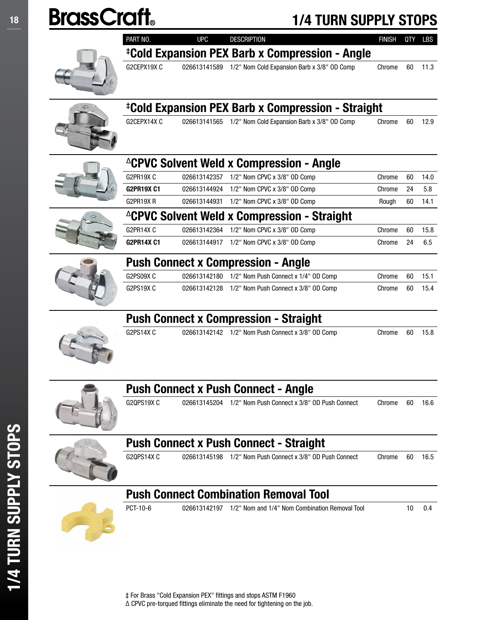

|  | PART NO.          | <b>UPC</b>   | <b>DESCRIPTION</b>                                            | <b>FINISH</b> | QTY | LBS  |
|--|-------------------|--------------|---------------------------------------------------------------|---------------|-----|------|
|  |                   |              | <sup>‡</sup> Cold Expansion PEX Barb x Compression - Angle    |               |     |      |
|  | G2CEPX19X C       |              | 026613141589 1/2" Nom Cold Expansion Barb x 3/8" OD Comp      | Chrome        | 60  | 11.3 |
|  |                   |              | <sup>‡</sup> Cold Expansion PEX Barb x Compression - Straight |               |     |      |
|  | G2CEPX14XC        |              | 026613141565 1/2" Nom Cold Expansion Barb x 3/8" OD Comp      | Chrome        | 60  | 12.9 |
|  |                   |              | <sup>2</sup> CPVC Solvent Weld x Compression - Angle          |               |     |      |
|  | G2PR19XC          | 026613142357 | 1/2" Nom CPVC x 3/8" OD Comp                                  | Chrome        | 60  | 14.0 |
|  | <b>G2PR19X C1</b> | 026613144924 | 1/2" Nom CPVC x 3/8" OD Comp                                  | Chrome        | 24  | 5.8  |
|  | G2PR19XR          | 026613144931 | 1/2" Nom CPVC x 3/8" OD Comp                                  | Rough         | 60  | 14.1 |
|  |                   |              | ∆CPVC Solvent Weld x Compression - Straight                   |               |     |      |
|  | G2PR14XC          | 026613142364 | 1/2" Nom CPVC x 3/8" OD Comp                                  | Chrome        | 60  | 15.8 |
|  | <b>G2PR14X C1</b> | 026613144917 | 1/2" Nom CPVC x 3/8" OD Comp                                  | Chrome        | 24  | 6.5  |
|  |                   |              | <b>Push Connect x Compression - Angle</b>                     |               |     |      |
|  | G2PS09XC          |              | 026613142180 1/2" Nom Push Connect x 1/4" OD Comp             | Chrome        | 60  | 15.1 |
|  | G2PS19XC          |              | 026613142128 1/2" Nom Push Connect x 3/8" OD Comp             | Chrome        | 60  | 15.4 |
|  |                   |              | <b>Push Connect x Compression - Straight</b>                  |               |     |      |
|  | G2PS14XC          |              | 026613142142 1/2" Nom Push Connect x 3/8" OD Comp             | Chrome        | 60  | 15.8 |
|  |                   |              | <b>Push Connect x Push Connect - Angle</b>                    |               |     |      |
|  | G2QPS19XC         | 026613145204 | 1/2" Nom Push Connect x 3/8" OD Push Connect                  | Chrome        | 60  | 16.6 |
|  |                   |              | <b>Push Connect x Push Connect - Straight</b>                 |               |     |      |
|  | G2QPS14XC         | 026613145198 | 1/2" Nom Push Connect x 3/8" OD Push Connect                  | Chrome        | 60  | 16.5 |

#### Push Connect Combination Removal Tool



1/4 TURN SUPPLY STOPS

1/4 TURN SUPPLY STOPS

PCT-10-6 026613142197 1/2" Nom and 1/4" Nom Combination Removal Tool 10 0.4